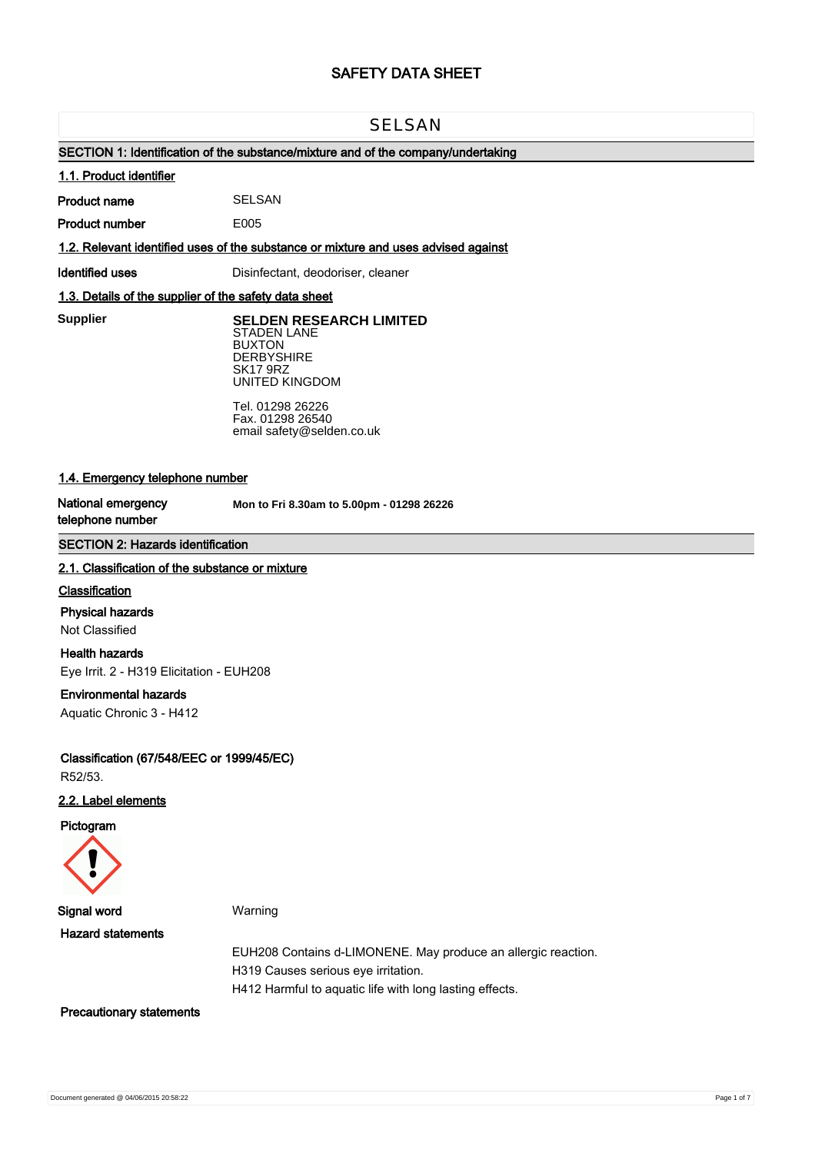# **SAFETY DATA SHEET**

# **SELSAN**

# **SECTION 1: Identification of the substance/mixture and of the company/undertaking**

#### **1.1. Product identifier**

**Product name** SELSAN

**Product number**

**1.2. Relevant identified uses of the substance or mixture and uses advised against**

E005

**Identified uses Disinfectant, deodoriser, cleaner** 

# **1.3. Details of the supplier of the safety data sheet**

**Supplier** 

**SELDEN RESEARCH LIMITED** STADEN LANE BUXTON

**DERBYSHIRE** SK17 9RZ UNITED KINGDOM

Tel. 01298 26226 Fax. 01298 26540 email safety@selden.co.uk

# **1.4. Emergency telephone number**

**National emergency telephone number**

**Mon to Fri 8.30am to 5.00pm - 01298 26226**

# **SECTION 2: Hazards identification**

#### **2.1. Classification of the substance or mixture**

### **Classification**

# **Physical hazards**

Not Classified

### **Health hazards**

Eye Irrit. 2 - H319 Elicitation - EUH208

# **Environmental hazards**

Aquatic Chronic 3 - H412

**Classification (67/548/EEC or 1999/45/EC)** R52/53.

# **2.2. Label elements**

**Pictogram**



**Signal word** Warning

**Hazard statements**

EUH208 Contains d-LIMONENE. May produce an allergic reaction. H319 Causes serious eye irritation. H412 Harmful to aquatic life with long lasting effects.

## **Precautionary statements**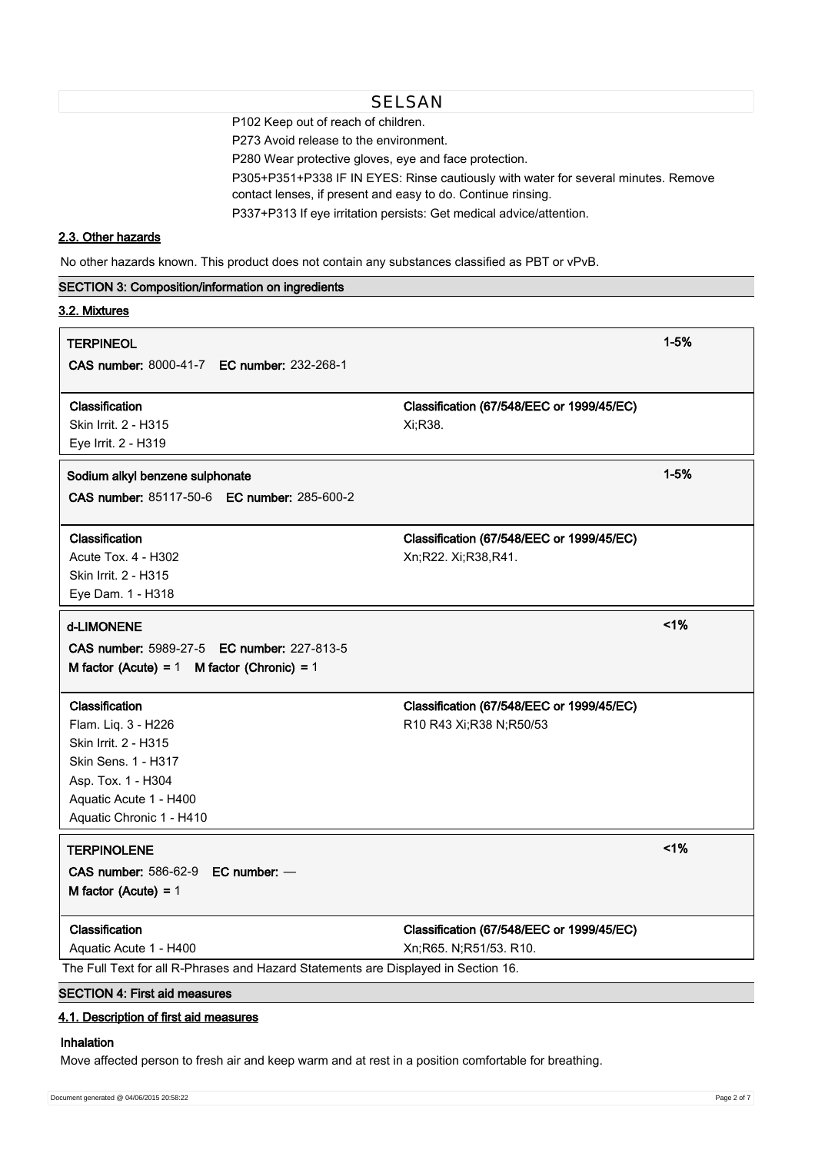P102 Keep out of reach of children.

P273 Avoid release to the environment.

P280 Wear protective gloves, eye and face protection.

P305+P351+P338 IF IN EYES: Rinse cautiously with water for several minutes. Remove

contact lenses, if present and easy to do. Continue rinsing.

P337+P313 If eye irritation persists: Get medical advice/attention.

# **2.3. Other hazards**

No other hazards known. This product does not contain any substances classified as PBT or vPvB.

| <b>SECTION 3: Composition/information on ingredients</b>                           |                                           |          |
|------------------------------------------------------------------------------------|-------------------------------------------|----------|
| 3.2. Mixtures                                                                      |                                           |          |
| <b>TERPINEOL</b>                                                                   |                                           | $1 - 5%$ |
| CAS number: 8000-41-7 EC number: 232-268-1                                         |                                           |          |
| Classification                                                                     | Classification (67/548/EEC or 1999/45/EC) |          |
| Skin Irrit. 2 - H315                                                               | Xi;R38.                                   |          |
| Eye Irrit. 2 - H319                                                                |                                           |          |
| Sodium alkyl benzene sulphonate                                                    |                                           | $1 - 5%$ |
| CAS number: 85117-50-6 EC number: 285-600-2                                        |                                           |          |
| Classification                                                                     | Classification (67/548/EEC or 1999/45/EC) |          |
| Acute Tox. 4 - H302                                                                | Xn;R22. Xi;R38,R41.                       |          |
| Skin Irrit. 2 - H315                                                               |                                           |          |
| Eye Dam. 1 - H318                                                                  |                                           |          |
| d-LIMONENE                                                                         |                                           | 1%       |
| CAS number: 5989-27-5 EC number: 227-813-5                                         |                                           |          |
| M factor (Acute) = $1$ M factor (Chronic) = $1$                                    |                                           |          |
| Classification                                                                     | Classification (67/548/EEC or 1999/45/EC) |          |
| Flam. Liq. 3 - H226                                                                | R10 R43 Xi; R38 N; R50/53                 |          |
| Skin Irrit. 2 - H315                                                               |                                           |          |
| Skin Sens. 1 - H317                                                                |                                           |          |
| Asp. Tox. 1 - H304                                                                 |                                           |          |
| Aquatic Acute 1 - H400                                                             |                                           |          |
| Aquatic Chronic 1 - H410                                                           |                                           |          |
| <b>TERPINOLENE</b>                                                                 |                                           | 1%       |
| CAS number: 586-62-9 EC number: -                                                  |                                           |          |
| M factor (Acute) = $1$                                                             |                                           |          |
| Classification                                                                     | Classification (67/548/EEC or 1999/45/EC) |          |
| Aquatic Acute 1 - H400                                                             | Xn;R65. N;R51/53. R10.                    |          |
| The Full Text for all R-Phrases and Hazard Statements are Displayed in Section 16. |                                           |          |
| <b>SECTION 4: First aid measures</b>                                               |                                           |          |

# **4.1. Description of first aid measures**

# **Inhalation**

Move affected person to fresh air and keep warm and at rest in a position comfortable for breathing.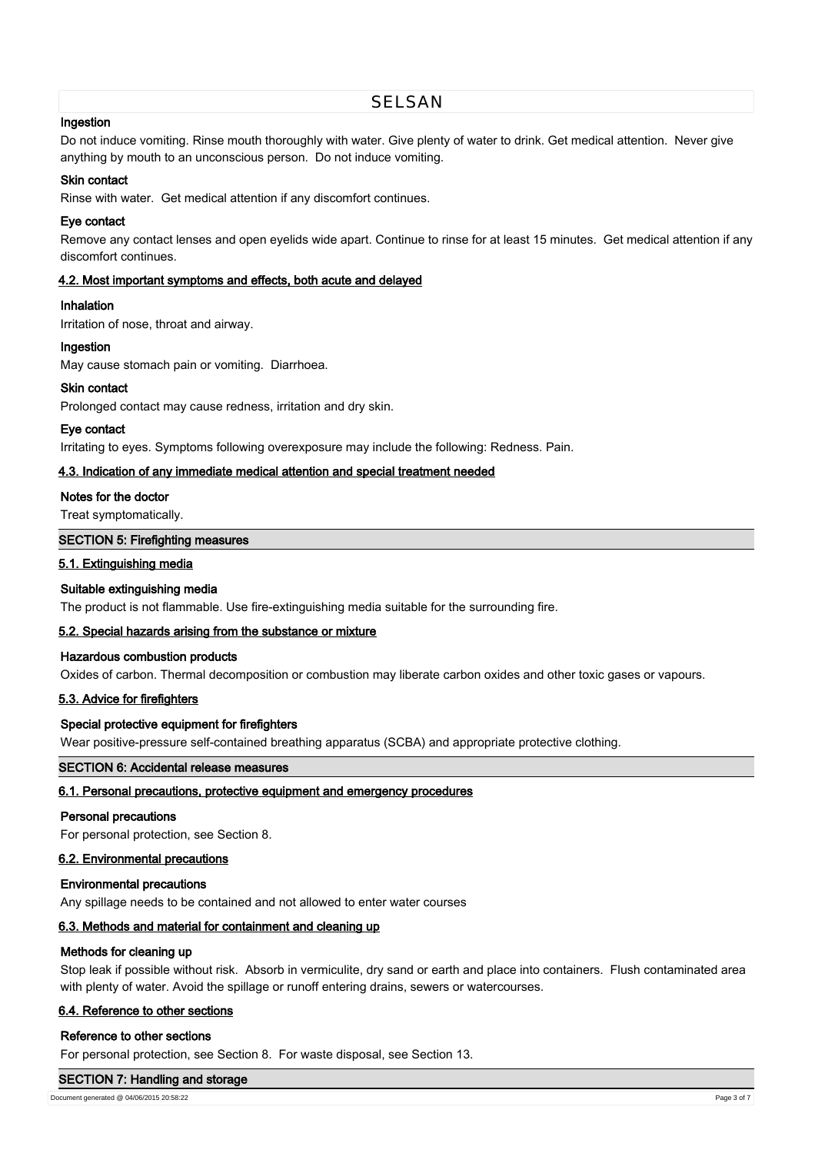# SELSAN

## **Ingestion**

Do not induce vomiting. Rinse mouth thoroughly with water. Give plenty of water to drink. Get medical attention. Never give anything by mouth to an unconscious person. Do not induce vomiting.

# **Skin contact**

Rinse with water. Get medical attention if any discomfort continues.

# **Eye contact**

Remove any contact lenses and open eyelids wide apart. Continue to rinse for at least 15 minutes. Get medical attention if any discomfort continues.

### **4.2. Most important symptoms and effects, both acute and delayed**

### **Inhalation**

Irritation of nose, throat and airway.

### **Ingestion**

May cause stomach pain or vomiting. Diarrhoea.

### **Skin contact**

Prolonged contact may cause redness, irritation and dry skin.

#### **Eye contact**

Irritating to eyes. Symptoms following overexposure may include the following: Redness. Pain.

### **4.3. Indication of any immediate medical attention and special treatment needed**

### **Notes for the doctor**

Treat symptomatically.

### **SECTION 5: Firefighting measures**

### **5.1. Extinguishing media**

# **Suitable extinguishing media**

The product is not flammable. Use fire-extinguishing media suitable for the surrounding fire.

# **5.2. Special hazards arising from the substance or mixture**

#### **Hazardous combustion products**

Oxides of carbon. Thermal decomposition or combustion may liberate carbon oxides and other toxic gases or vapours.

# **5.3. Advice for firefighters**

# **Special protective equipment for firefighters**

Wear positive-pressure self-contained breathing apparatus (SCBA) and appropriate protective clothing.

**SECTION 6: Accidental release measures**

## **6.1. Personal precautions, protective equipment and emergency procedures**

# **Personal precautions**

For personal protection, see Section 8.

# **6.2. Environmental precautions**

#### **Environmental precautions**

Any spillage needs to be contained and not allowed to enter water courses

# **6.3. Methods and material for containment and cleaning up**

#### **Methods for cleaning up**

Stop leak if possible without risk. Absorb in vermiculite, dry sand or earth and place into containers. Flush contaminated area with plenty of water. Avoid the spillage or runoff entering drains, sewers or watercourses.

# **6.4. Reference to other sections**

#### **Reference to other sections**

For personal protection, see Section 8. For waste disposal, see Section 13.

#### **SECTION 7: Handling and storage**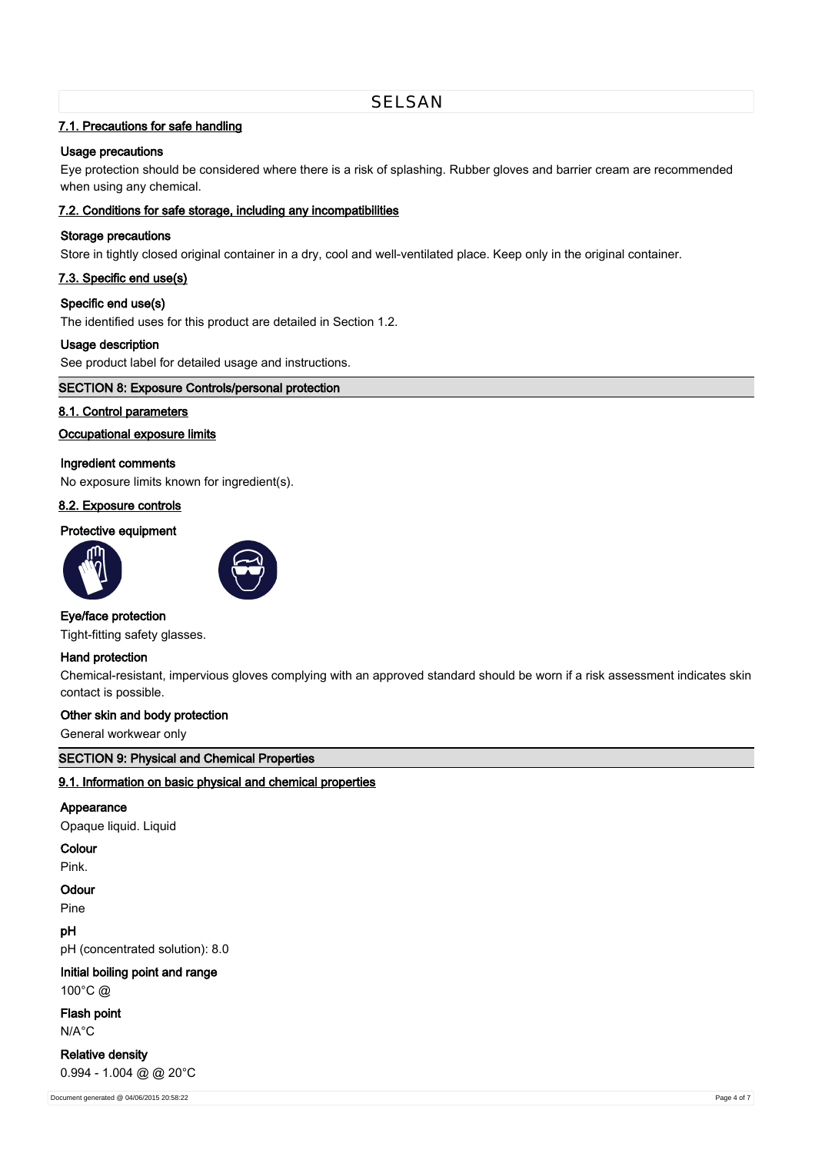# **7.1. Precautions for safe handling**

# **Usage precautions**

Eye protection should be considered where there is a risk of splashing. Rubber gloves and barrier cream are recommended when using any chemical.

## **7.2. Conditions for safe storage, including any incompatibilities**

# **Storage precautions**

Store in tightly closed original container in a dry, cool and well-ventilated place. Keep only in the original container.

# **7.3. Specific end use(s)**

### **Specific end use(s)**

The identified uses for this product are detailed in Section 1.2.

### **Usage description**

See product label for detailed usage and instructions.

### **SECTION 8: Exposure Controls/personal protection**

# **8.1. Control parameters**

#### **Occupational exposure limits**

#### **Ingredient comments**

No exposure limits known for ingredient(s).

# **8.2. Exposure controls**

#### **Protective equipment**





#### **Eye/face protection**

Tight-fitting safety glasses.

# **Hand protection**

Chemical-resistant, impervious gloves complying with an approved standard should be worn if a risk assessment indicates skin contact is possible.

## **Other skin and body protection**

General workwear only

# **SECTION 9: Physical and Chemical Properties**

### **9.1. Information on basic physical and chemical properties**

### **Appearance**

Opaque liquid. Liquid

# **Colour**

Pink.

#### **Odour**

Pine

# **pH**

pH (concentrated solution): 8.0

# **Initial boiling point and range**

100°C @

**Flash point** N/A°C

# **Relative density** 0.994 - 1.004 @ @ 20°C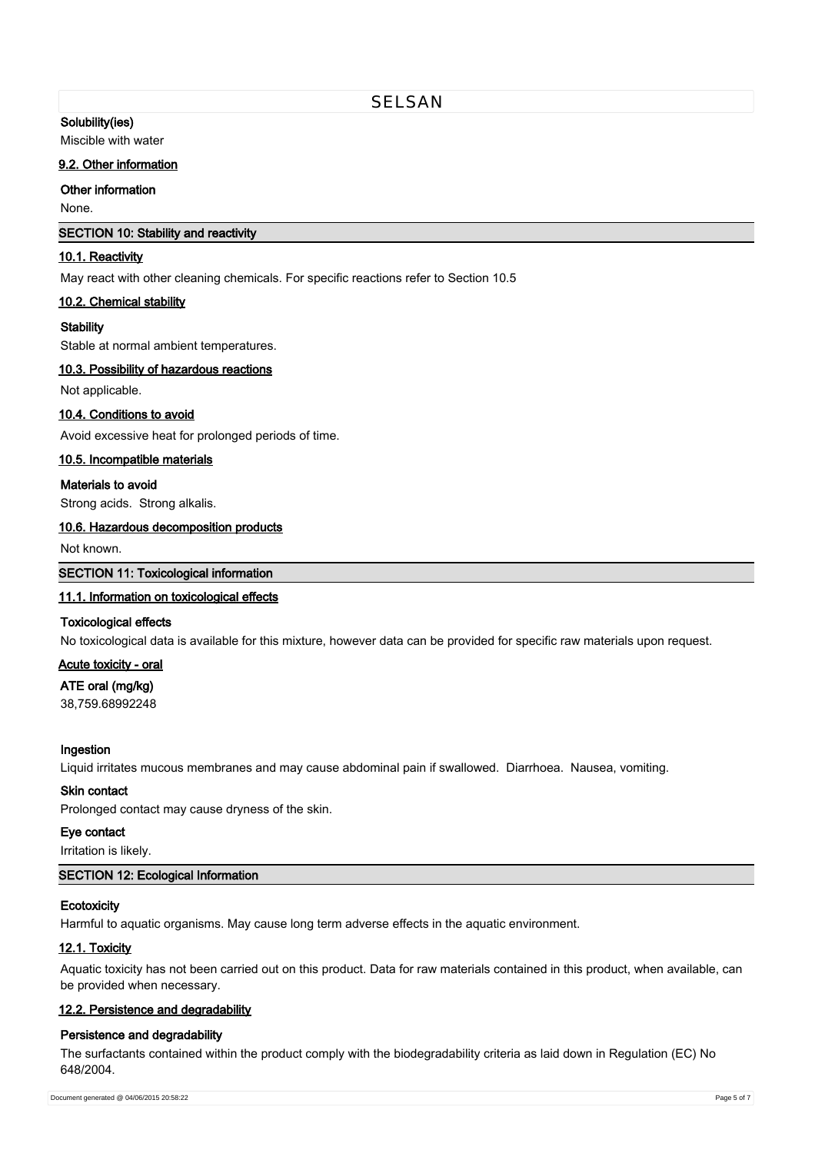## **Solubility(ies)**

Miscible with water

### **9.2. Other information**

**Other information**

None.

# **SECTION 10: Stability and reactivity**

### **10.1. Reactivity**

May react with other cleaning chemicals. For specific reactions refer to Section 10.5

### **10.2. Chemical stability**

#### **Stability**

Stable at normal ambient temperatures.

## **10.3. Possibility of hazardous reactions**

Not applicable.

### **10.4. Conditions to avoid**

Avoid excessive heat for prolonged periods of time.

# **10.5. Incompatible materials**

### **Materials to avoid**

Strong acids. Strong alkalis.

## **10.6. Hazardous decomposition products**

Not known.

# **SECTION 11: Toxicological information**

# **11.1. Information on toxicological effects**

### **Toxicological effects**

No toxicological data is available for this mixture, however data can be provided for specific raw materials upon request.

### **Acute toxicity - oral**

# **ATE oral (mg/kg)**

38,759.68992248

#### **Ingestion**

Liquid irritates mucous membranes and may cause abdominal pain if swallowed. Diarrhoea. Nausea, vomiting.

### **Skin contact**

Prolonged contact may cause dryness of the skin.

# **Eye contact**

Irritation is likely.

# **SECTION 12: Ecological Information**

# **Ecotoxicity**

Harmful to aquatic organisms. May cause long term adverse effects in the aquatic environment.

### **12.1. Toxicity**

Aquatic toxicity has not been carried out on this product. Data for raw materials contained in this product, when available, can be provided when necessary.

### **12.2. Persistence and degradability**

#### **Persistence and degradability**

The surfactants contained within the product comply with the biodegradability criteria as laid down in Regulation (EC) No 648/2004.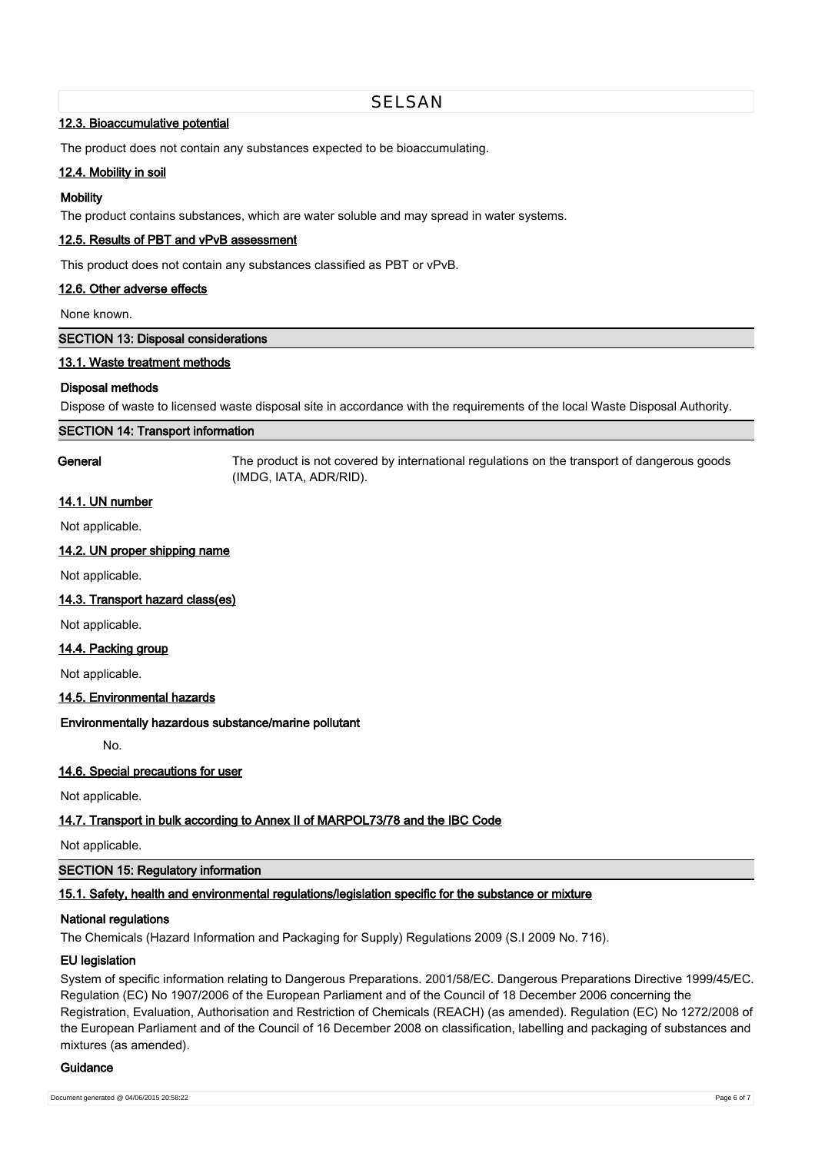# **12.3. Bioaccumulative potential**

The product does not contain any substances expected to be bioaccumulating.

# **12.4. Mobility in soil**

### **Mobility**

The product contains substances, which are water soluble and may spread in water systems.

# **12.5. Results of PBT and vPvB assessment**

This product does not contain any substances classified as PBT or vPvB.

#### **12.6. Other adverse effects**

None known.

**SECTION 13: Disposal considerations**

### **13.1. Waste treatment methods**

### **Disposal methods**

Dispose of waste to licensed waste disposal site in accordance with the requirements of the local Waste Disposal Authority.

SELSAN

#### **SECTION 14: Transport information**

**General** The product is not covered by international regulations on the transport of dangerous goods (IMDG, IATA, ADR/RID).

# **14.1. UN number**

Not applicable.

### **14.2. UN proper shipping name**

Not applicable.

### **14.3. Transport hazard class(es)**

Not applicable.

#### **14.4. Packing group**

Not applicable.

#### **14.5. Environmental hazards**

#### **Environmentally hazardous substance/marine pollutant**

No.

### **14.6. Special precautions for user**

Not applicable.

## **14.7. Transport in bulk according to Annex II of MARPOL73/78 and the IBC Code**

Not applicable.

### **SECTION 15: Regulatory information**

### **15.1. Safety, health and environmental regulations/legislation specific for the substance or mixture**

### **National regulations**

The Chemicals (Hazard Information and Packaging for Supply) Regulations 2009 (S.I 2009 No. 716).

#### **EU legislation**

System of specific information relating to Dangerous Preparations. 2001/58/EC. Dangerous Preparations Directive 1999/45/EC. Regulation (EC) No 1907/2006 of the European Parliament and of the Council of 18 December 2006 concerning the Registration, Evaluation, Authorisation and Restriction of Chemicals (REACH) (as amended). Regulation (EC) No 1272/2008 of the European Parliament and of the Council of 16 December 2008 on classification, labelling and packaging of substances and mixtures (as amended).

#### **Guidance**